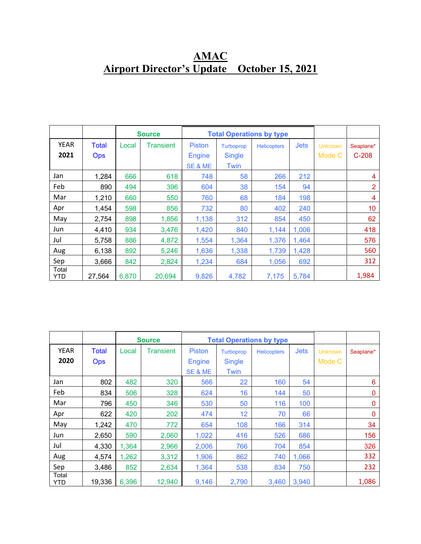## **AMAC Airport Director's Update October 15, 2021**

|                     |                     | <b>Source</b> |           |                                | <b>Total Operations by type</b>   |                    |             |                          |                      |
|---------------------|---------------------|---------------|-----------|--------------------------------|-----------------------------------|--------------------|-------------|--------------------------|----------------------|
| <b>YEAR</b><br>2021 | Total<br><b>Ops</b> | Local         | Transient | <b>Piston</b><br><b>Engine</b> | <b>Turboprop</b><br><b>Single</b> | <b>Helicopters</b> | <b>Jets</b> | <b>Unknown</b><br>Mode C | Seaplane*<br>$C-208$ |
|                     |                     |               |           | SE & ME                        | Twin                              |                    |             |                          |                      |
| Jan                 | 1,284               | 666           | 618       | 748                            | 58                                | 266                | 212         |                          | 4                    |
| Feb                 | 890                 | 494           | 396       | 604                            | 38                                | 154                | 94          |                          | $\overline{2}$       |
| Mar                 | 1,210               | 660           | 550       | 760                            | 68                                | 184                | 198         |                          | 4                    |
| Apr                 | 1,454               | 598           | 856       | 732                            | 80                                | 402                | 240         |                          | 10                   |
| May                 | 2,754               | 898           | 1,856     | 1,138                          | 312                               | 854                | 450         |                          | 62                   |
| Jun                 | 4,410               | 934           | 3,476     | 1,420                          | 840                               | 1,144              | 1,006       |                          | 418                  |
| Jul                 | 5,758               | 886           | 4,872     | 1,554                          | 1,364                             | 1,376              | 1,464       |                          | 576                  |
| Aug                 | 6,138               | 892           | 5,246     | 1,636                          | 1,338                             | 1,739              | 1,428       |                          | 560                  |
| Sep                 | 3,666               | 842           | 2,824     | 1,234                          | 684                               | 1,056              | 692         |                          | 312                  |
| Total<br>YTD        | 27,564              | 6,870         | 20,694    | 9,826                          | 4,782                             | 7,175              | 5,784       |                          | 1,984                |

|              |              |       | <b>Source</b> |               | <b>Total Operations by type</b> |                    |             |                |              |
|--------------|--------------|-------|---------------|---------------|---------------------------------|--------------------|-------------|----------------|--------------|
| <b>YEAR</b>  | <b>Total</b> | Local | Transient     | <b>Piston</b> | <b>Turboprop</b>                | <b>Helicopters</b> | <b>Jets</b> | <b>Unknown</b> | Seaplane*    |
| 2020         | <b>Ops</b>   |       |               | <b>Engine</b> | <b>Single</b>                   |                    |             | Mode C         |              |
|              |              |       |               | SE & ME       | Twin                            |                    |             |                |              |
| Jan          | 802          | 482   | 320           | 566           | 22                              | 160                | 54          |                | 6            |
| Feb          | 834          | 506   | 328           | 624           | 16                              | 144                | 50          |                | $\mathbf{0}$ |
| Mar          | 796          | 450   | 346           | 530           | 50                              | 116                | 100         |                | 0            |
| Apr          | 622          | 420   | 202           | 474           | 12                              | 70                 | 66          |                | $\mathbf{0}$ |
| May          | 1,242        | 470   | 772           | 654           | 108                             | 166                | 314         |                | 34           |
| Jun          | 2,650        | 590   | 2,060         | 1,022         | 416                             | 526                | 686         |                | 156          |
| Jul          | 4,330        | 1,364 | 2,966         | 2,006         | 766                             | 704                | 854         |                | 326          |
| Aug          | 4,574        | 1,262 | 3,312         | 1,906         | 862                             | 740                | 1,066       |                | 332          |
| Sep          | 3,486        | 852   | 2,634         | 1,364         | 538                             | 834                | 750         |                | 232          |
| Total<br>YTD | 19,336       | 6,396 | 12,940        | 9,146         | 2,790                           | 3,460              | 3,940       |                | 1,086        |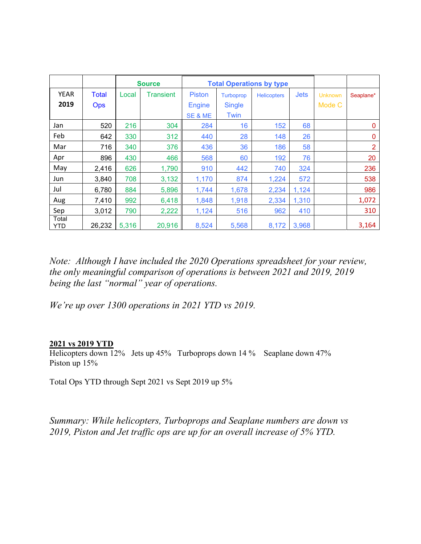|              |            |       | <b>Source</b> | <b>Total Operations by type</b> |                  |             |             |                |                |
|--------------|------------|-------|---------------|---------------------------------|------------------|-------------|-------------|----------------|----------------|
| <b>YEAR</b>  | Total      | Local | Transient     | <b>Piston</b>                   | <b>Turboprop</b> | Helicopters | <b>Jets</b> | <b>Unknown</b> | Seaplane*      |
| 2019         | <b>Ops</b> |       |               | <b>Engine</b>                   | <b>Single</b>    |             |             | Mode C         |                |
|              |            |       |               | SE & ME                         | Twin             |             |             |                |                |
| Jan          | 520        | 216   | 304           | 284                             | 16               | 152         | 68          |                | $\Omega$       |
| Feb          | 642        | 330   | 312           | 440                             | 28               | 148         | 26          |                | 0              |
| Mar          | 716        | 340   | 376           | 436                             | 36               | 186         | 58          |                | $\overline{2}$ |
| Apr          | 896        | 430   | 466           | 568                             | 60               | 192         | 76          |                | 20             |
| May          | 2,416      | 626   | 1,790         | 910                             | 442              | 740         | 324         |                | 236            |
| Jun          | 3,840      | 708   | 3,132         | 1,170                           | 874              | 1,224       | 572         |                | 538            |
| Jul          | 6,780      | 884   | 5,896         | 1,744                           | 1,678            | 2,234       | 1,124       |                | 986            |
| Aug          | 7,410      | 992   | 6,418         | 1,848                           | 1,918            | 2,334       | 1,310       |                | 1,072          |
| Sep          | 3,012      | 790   | 2,222         | 1,124                           | 516              | 962         | 410         |                | 310            |
| Total<br>YTD | 26,232     | 5,316 | 20,916        | 8,524                           | 5,568            | 8,172       | 3,968       |                | 3,164          |

*Note: Although I have included the 2020 Operations spreadsheet for your review, the only meaningful comparison of operations is between 2021 and 2019, 2019 being the last "normal" year of operations.*

*We're up over 1300 operations in 2021 YTD vs 2019.*

## **2021 vs 2019 YTD**

Helicopters down 12% Jets up 45% Turboprops down 14 % Seaplane down 47% Piston up 15%

Total Ops YTD through Sept 2021 vs Sept 2019 up 5%

*Summary: While helicopters, Turboprops and Seaplane numbers are down vs 2019, Piston and Jet traffic ops are up for an overall increase of 5% YTD.*